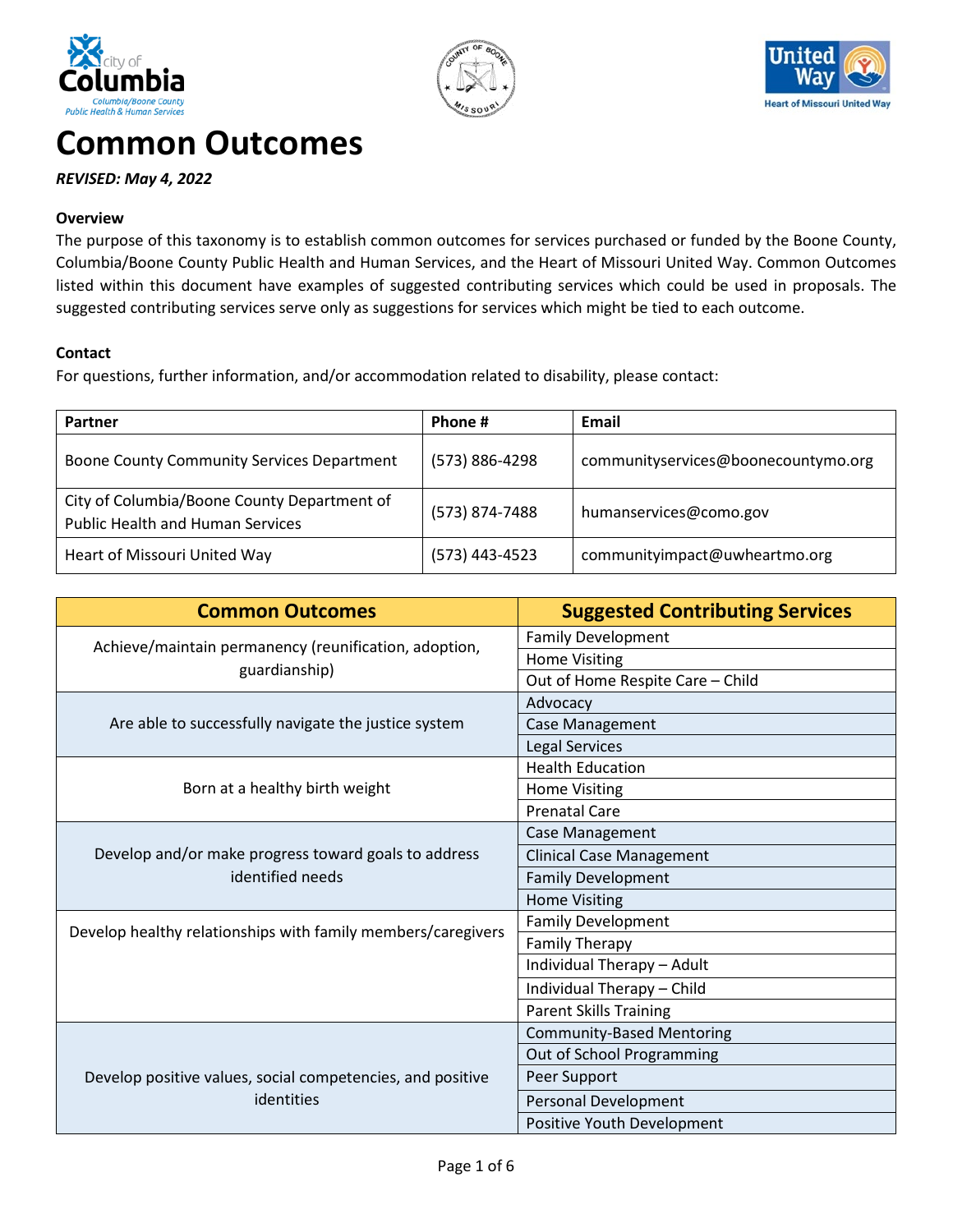





# **Common Outcomes**

## *REVISED: May 4, 2022*

#### **Overview**

The purpose of this taxonomy is to establish common outcomes for services purchased or funded by the Boone County, Columbia/Boone County Public Health and Human Services, and the Heart of Missouri United Way. Common Outcomes listed within this document have examples of suggested contributing services which could be used in proposals. The suggested contributing services serve only as suggestions for services which might be tied to each outcome.

#### **Contact**

For questions, further information, and/or accommodation related to disability, please contact:

| Partner                                                                                | Phone #        | Email                               |
|----------------------------------------------------------------------------------------|----------------|-------------------------------------|
| Boone County Community Services Department                                             | (573) 886-4298 | communityservices@boonecountymo.org |
| City of Columbia/Boone County Department of<br><b>Public Health and Human Services</b> | (573) 874-7488 | humanservices@como.gov              |
| Heart of Missouri United Way                                                           | (573) 443-4523 | communityimpact@uwheartmo.org       |

| <b>Common Outcomes</b>                                                   | <b>Suggested Contributing Services</b> |
|--------------------------------------------------------------------------|----------------------------------------|
| Achieve/maintain permanency (reunification, adoption,                    | <b>Family Development</b>              |
| guardianship)                                                            | <b>Home Visiting</b>                   |
|                                                                          | Out of Home Respite Care - Child       |
|                                                                          | Advocacy                               |
| Are able to successfully navigate the justice system                     | Case Management                        |
|                                                                          | <b>Legal Services</b>                  |
|                                                                          | <b>Health Education</b>                |
| Born at a healthy birth weight                                           | <b>Home Visiting</b>                   |
|                                                                          | <b>Prenatal Care</b>                   |
|                                                                          | Case Management                        |
| Develop and/or make progress toward goals to address<br>identified needs | <b>Clinical Case Management</b>        |
|                                                                          | <b>Family Development</b>              |
|                                                                          | <b>Home Visiting</b>                   |
| Develop healthy relationships with family members/caregivers             | <b>Family Development</b>              |
|                                                                          | <b>Family Therapy</b>                  |
|                                                                          | Individual Therapy - Adult             |
|                                                                          | Individual Therapy - Child             |
|                                                                          | <b>Parent Skills Training</b>          |
|                                                                          | <b>Community-Based Mentoring</b>       |
|                                                                          | Out of School Programming              |
| Develop positive values, social competencies, and positive               | Peer Support                           |
| identities                                                               | Personal Development                   |
|                                                                          | Positive Youth Development             |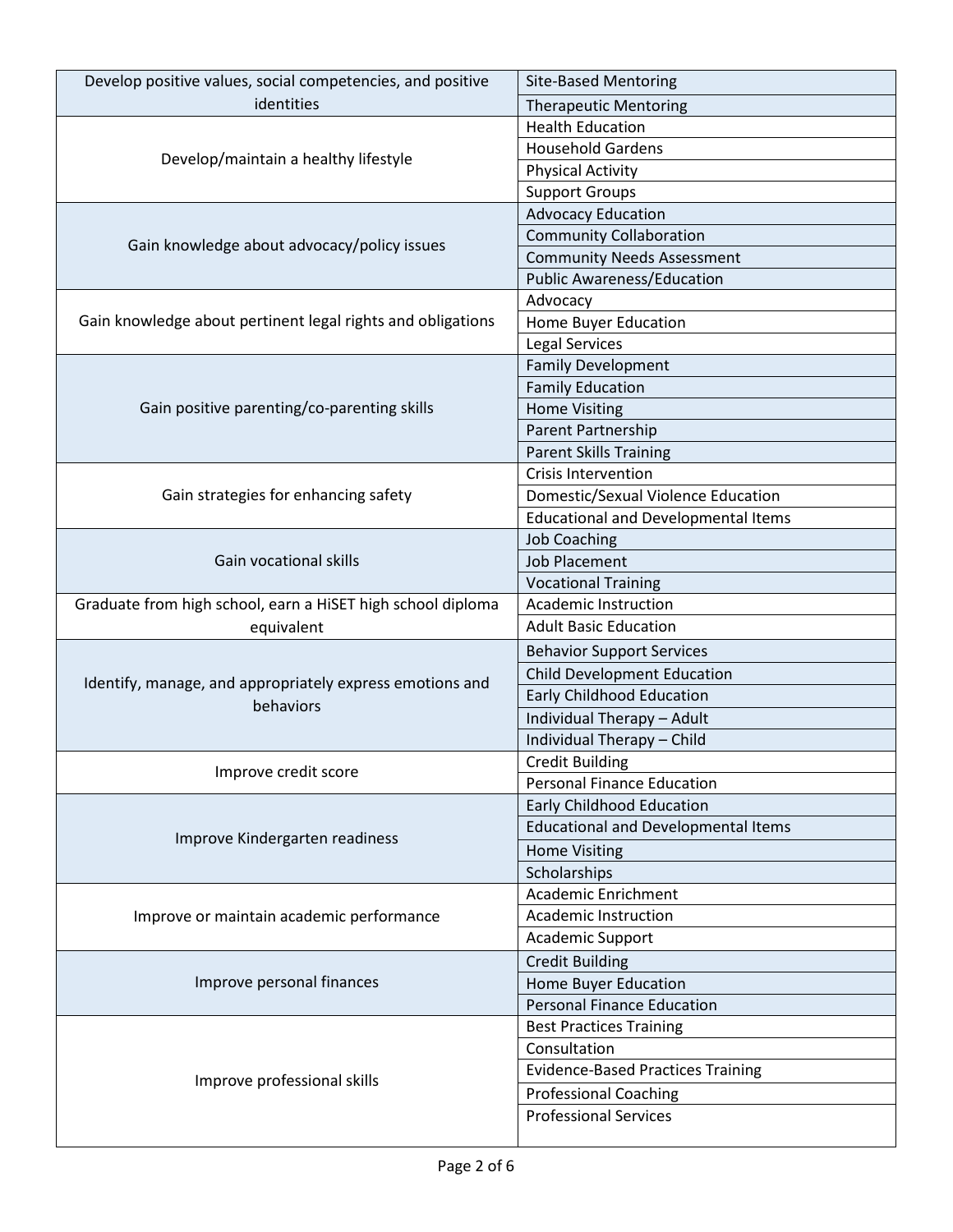| Develop positive values, social competencies, and positive  | <b>Site-Based Mentoring</b>                |
|-------------------------------------------------------------|--------------------------------------------|
| identities                                                  | <b>Therapeutic Mentoring</b>               |
|                                                             | <b>Health Education</b>                    |
|                                                             | <b>Household Gardens</b>                   |
| Develop/maintain a healthy lifestyle                        | <b>Physical Activity</b>                   |
|                                                             | <b>Support Groups</b>                      |
|                                                             | <b>Advocacy Education</b>                  |
|                                                             | <b>Community Collaboration</b>             |
| Gain knowledge about advocacy/policy issues                 | <b>Community Needs Assessment</b>          |
|                                                             | <b>Public Awareness/Education</b>          |
|                                                             | Advocacy                                   |
| Gain knowledge about pertinent legal rights and obligations | Home Buyer Education                       |
|                                                             | Legal Services                             |
|                                                             | <b>Family Development</b>                  |
|                                                             | <b>Family Education</b>                    |
| Gain positive parenting/co-parenting skills                 | <b>Home Visiting</b>                       |
|                                                             | Parent Partnership                         |
|                                                             | <b>Parent Skills Training</b>              |
|                                                             | Crisis Intervention                        |
| Gain strategies for enhancing safety                        | Domestic/Sexual Violence Education         |
|                                                             | <b>Educational and Developmental Items</b> |
|                                                             | <b>Job Coaching</b>                        |
| Gain vocational skills                                      | <b>Job Placement</b>                       |
|                                                             | <b>Vocational Training</b>                 |
| Graduate from high school, earn a HiSET high school diploma | <b>Academic Instruction</b>                |
| equivalent                                                  | <b>Adult Basic Education</b>               |
|                                                             | <b>Behavior Support Services</b>           |
|                                                             | <b>Child Development Education</b>         |
| Identify, manage, and appropriately express emotions and    | <b>Early Childhood Education</b>           |
| behaviors                                                   | Individual Therapy - Adult                 |
|                                                             | Individual Therapy - Child                 |
|                                                             | <b>Credit Building</b>                     |
| Improve credit score                                        | <b>Personal Finance Education</b>          |
|                                                             | Early Childhood Education                  |
|                                                             | <b>Educational and Developmental Items</b> |
| Improve Kindergarten readiness                              | <b>Home Visiting</b>                       |
|                                                             | Scholarships                               |
|                                                             | <b>Academic Enrichment</b>                 |
| Improve or maintain academic performance                    | Academic Instruction                       |
|                                                             | Academic Support                           |
| Improve personal finances                                   | <b>Credit Building</b>                     |
|                                                             | Home Buyer Education                       |
|                                                             | <b>Personal Finance Education</b>          |
|                                                             | <b>Best Practices Training</b>             |
|                                                             | Consultation                               |
|                                                             | <b>Evidence-Based Practices Training</b>   |
| Improve professional skills                                 | <b>Professional Coaching</b>               |
|                                                             | <b>Professional Services</b>               |
|                                                             |                                            |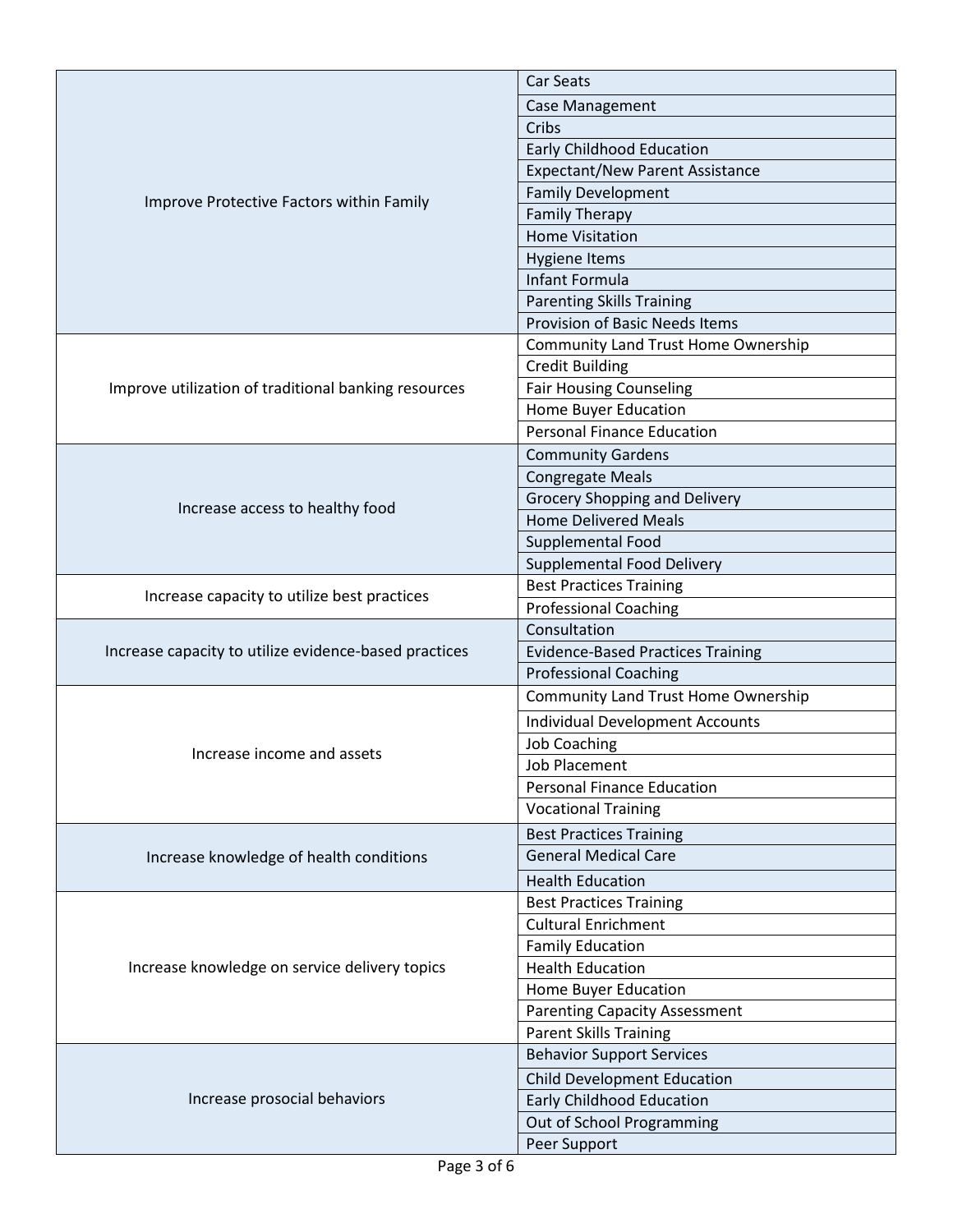|                                                       | Car Seats                                  |
|-------------------------------------------------------|--------------------------------------------|
|                                                       | <b>Case Management</b>                     |
|                                                       | Cribs                                      |
|                                                       | <b>Early Childhood Education</b>           |
|                                                       | <b>Expectant/New Parent Assistance</b>     |
|                                                       | <b>Family Development</b>                  |
| Improve Protective Factors within Family              | <b>Family Therapy</b>                      |
|                                                       | <b>Home Visitation</b>                     |
|                                                       | <b>Hygiene Items</b>                       |
|                                                       | Infant Formula                             |
|                                                       | <b>Parenting Skills Training</b>           |
|                                                       | <b>Provision of Basic Needs Items</b>      |
|                                                       | <b>Community Land Trust Home Ownership</b> |
|                                                       | <b>Credit Building</b>                     |
| Improve utilization of traditional banking resources  | <b>Fair Housing Counseling</b>             |
|                                                       | Home Buyer Education                       |
|                                                       | <b>Personal Finance Education</b>          |
|                                                       | <b>Community Gardens</b>                   |
|                                                       | <b>Congregate Meals</b>                    |
| Increase access to healthy food                       | Grocery Shopping and Delivery              |
|                                                       | <b>Home Delivered Meals</b>                |
|                                                       | Supplemental Food                          |
|                                                       | Supplemental Food Delivery                 |
| Increase capacity to utilize best practices           | <b>Best Practices Training</b>             |
|                                                       | <b>Professional Coaching</b>               |
|                                                       | Consultation                               |
| Increase capacity to utilize evidence-based practices | <b>Evidence-Based Practices Training</b>   |
|                                                       | <b>Professional Coaching</b>               |
|                                                       | <b>Community Land Trust Home Ownership</b> |
|                                                       | <b>Individual Development Accounts</b>     |
| Increase income and assets                            | <b>Job Coaching</b>                        |
|                                                       | <b>Job Placement</b>                       |
|                                                       | <b>Personal Finance Education</b>          |
|                                                       | <b>Vocational Training</b>                 |
|                                                       | <b>Best Practices Training</b>             |
| Increase knowledge of health conditions               | <b>General Medical Care</b>                |
|                                                       | <b>Health Education</b>                    |
|                                                       | <b>Best Practices Training</b>             |
|                                                       | <b>Cultural Enrichment</b>                 |
|                                                       | <b>Family Education</b>                    |
| Increase knowledge on service delivery topics         | <b>Health Education</b>                    |
|                                                       | Home Buyer Education                       |
|                                                       | <b>Parenting Capacity Assessment</b>       |
|                                                       | <b>Parent Skills Training</b>              |
|                                                       | <b>Behavior Support Services</b>           |
|                                                       | <b>Child Development Education</b>         |
| Increase prosocial behaviors                          | <b>Early Childhood Education</b>           |
|                                                       | Out of School Programming                  |
|                                                       | Peer Support                               |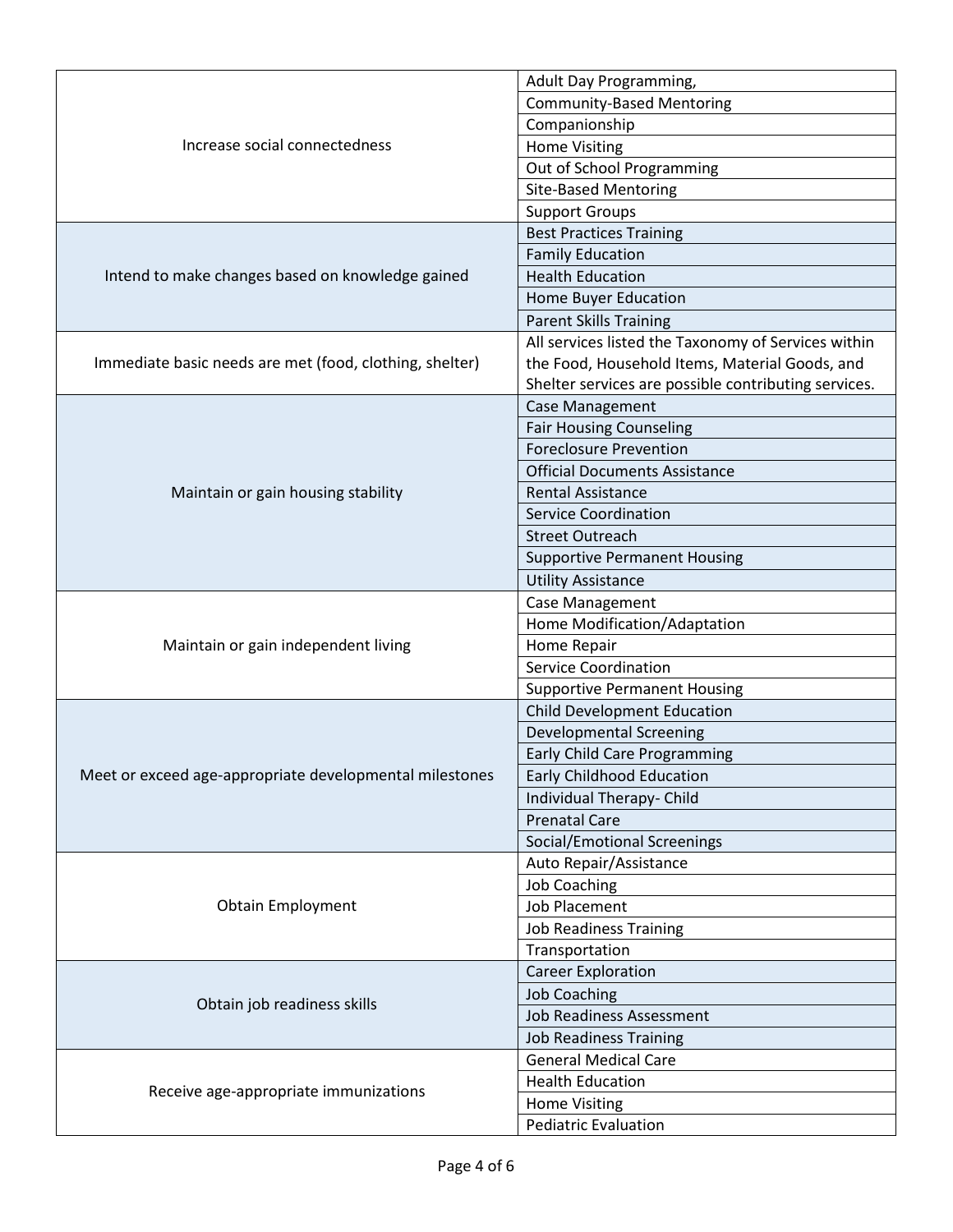|                                                         | Adult Day Programming,                               |
|---------------------------------------------------------|------------------------------------------------------|
|                                                         | <b>Community-Based Mentoring</b>                     |
|                                                         | Companionship                                        |
| Increase social connectedness                           | <b>Home Visiting</b>                                 |
|                                                         | Out of School Programming                            |
|                                                         | <b>Site-Based Mentoring</b>                          |
|                                                         | <b>Support Groups</b>                                |
|                                                         | <b>Best Practices Training</b>                       |
|                                                         | <b>Family Education</b>                              |
| Intend to make changes based on knowledge gained        | <b>Health Education</b>                              |
|                                                         | Home Buyer Education                                 |
|                                                         | <b>Parent Skills Training</b>                        |
|                                                         | All services listed the Taxonomy of Services within  |
| Immediate basic needs are met (food, clothing, shelter) | the Food, Household Items, Material Goods, and       |
|                                                         | Shelter services are possible contributing services. |
|                                                         | Case Management                                      |
|                                                         | <b>Fair Housing Counseling</b>                       |
|                                                         | <b>Foreclosure Prevention</b>                        |
|                                                         | <b>Official Documents Assistance</b>                 |
| Maintain or gain housing stability                      | <b>Rental Assistance</b>                             |
|                                                         | <b>Service Coordination</b>                          |
|                                                         | <b>Street Outreach</b>                               |
|                                                         | <b>Supportive Permanent Housing</b>                  |
|                                                         | <b>Utility Assistance</b>                            |
|                                                         | Case Management                                      |
|                                                         | Home Modification/Adaptation                         |
| Maintain or gain independent living                     | Home Repair                                          |
|                                                         | <b>Service Coordination</b>                          |
|                                                         | <b>Supportive Permanent Housing</b>                  |
|                                                         | <b>Child Development Education</b>                   |
|                                                         | <b>Developmental Screening</b>                       |
|                                                         | <b>Early Child Care Programming</b>                  |
| Meet or exceed age-appropriate developmental milestones | Early Childhood Education                            |
|                                                         | Individual Therapy- Child                            |
|                                                         | <b>Prenatal Care</b>                                 |
|                                                         | Social/Emotional Screenings                          |
|                                                         | Auto Repair/Assistance                               |
|                                                         | <b>Job Coaching</b>                                  |
| <b>Obtain Employment</b>                                | <b>Job Placement</b>                                 |
|                                                         | <b>Job Readiness Training</b>                        |
|                                                         | Transportation                                       |
|                                                         | <b>Career Exploration</b>                            |
|                                                         | <b>Job Coaching</b>                                  |
| Obtain job readiness skills                             | <b>Job Readiness Assessment</b>                      |
|                                                         | <b>Job Readiness Training</b>                        |
|                                                         | <b>General Medical Care</b>                          |
|                                                         | <b>Health Education</b>                              |
| Receive age-appropriate immunizations                   | <b>Home Visiting</b>                                 |
|                                                         | <b>Pediatric Evaluation</b>                          |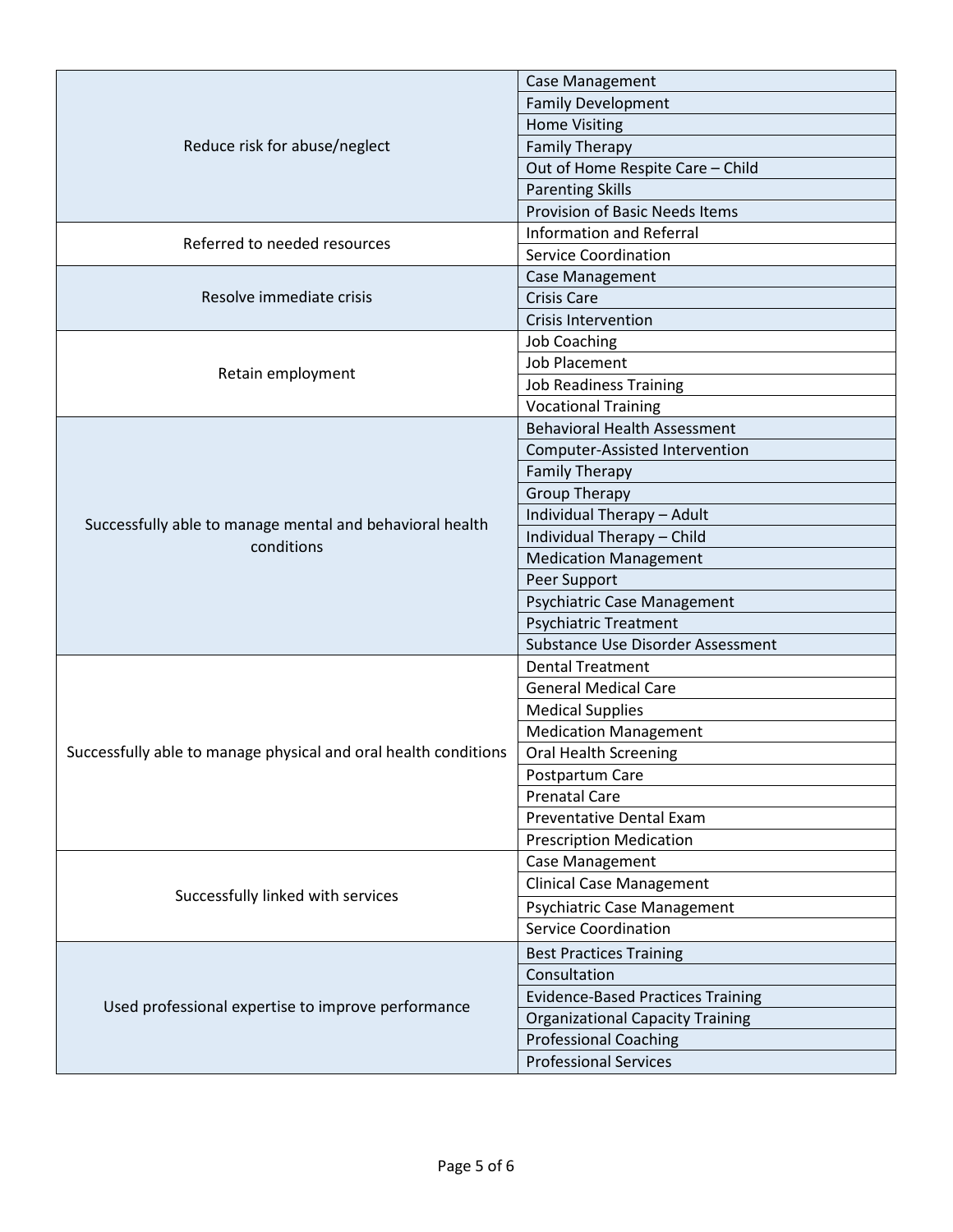|                                                                 | <b>Case Management</b>                   |
|-----------------------------------------------------------------|------------------------------------------|
|                                                                 | <b>Family Development</b>                |
|                                                                 | <b>Home Visiting</b>                     |
| Reduce risk for abuse/neglect                                   | <b>Family Therapy</b>                    |
|                                                                 | Out of Home Respite Care - Child         |
|                                                                 | <b>Parenting Skills</b>                  |
|                                                                 | <b>Provision of Basic Needs Items</b>    |
|                                                                 | <b>Information and Referral</b>          |
| Referred to needed resources                                    | <b>Service Coordination</b>              |
|                                                                 | Case Management                          |
| Resolve immediate crisis                                        | <b>Crisis Care</b>                       |
|                                                                 | <b>Crisis Intervention</b>               |
|                                                                 | <b>Job Coaching</b>                      |
|                                                                 | <b>Job Placement</b>                     |
| Retain employment                                               | <b>Job Readiness Training</b>            |
|                                                                 | <b>Vocational Training</b>               |
|                                                                 | <b>Behavioral Health Assessment</b>      |
|                                                                 | Computer-Assisted Intervention           |
|                                                                 | <b>Family Therapy</b>                    |
|                                                                 | <b>Group Therapy</b>                     |
|                                                                 | Individual Therapy - Adult               |
| Successfully able to manage mental and behavioral health        | Individual Therapy - Child               |
| conditions                                                      | <b>Medication Management</b>             |
|                                                                 | Peer Support                             |
|                                                                 | Psychiatric Case Management              |
|                                                                 | <b>Psychiatric Treatment</b>             |
|                                                                 | Substance Use Disorder Assessment        |
|                                                                 | <b>Dental Treatment</b>                  |
|                                                                 | <b>General Medical Care</b>              |
|                                                                 | <b>Medical Supplies</b>                  |
|                                                                 | <b>Medication Management</b>             |
| Successfully able to manage physical and oral health conditions | <b>Oral Health Screening</b>             |
|                                                                 | Postpartum Care                          |
|                                                                 | <b>Prenatal Care</b>                     |
|                                                                 | <b>Preventative Dental Exam</b>          |
|                                                                 | <b>Prescription Medication</b>           |
|                                                                 | Case Management                          |
|                                                                 | <b>Clinical Case Management</b>          |
| Successfully linked with services                               | Psychiatric Case Management              |
|                                                                 | <b>Service Coordination</b>              |
|                                                                 | <b>Best Practices Training</b>           |
| Used professional expertise to improve performance              | Consultation                             |
|                                                                 | <b>Evidence-Based Practices Training</b> |
|                                                                 | <b>Organizational Capacity Training</b>  |
|                                                                 | <b>Professional Coaching</b>             |
|                                                                 | <b>Professional Services</b>             |
|                                                                 |                                          |